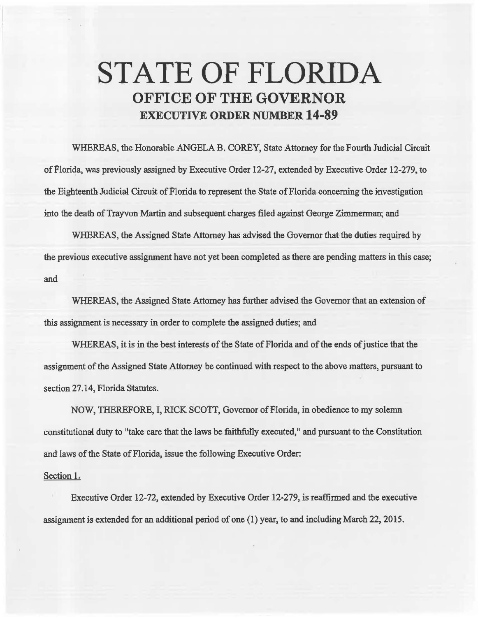## STATE OF FLORIDA **OFFICE OF THE GOVERNOR**  EXECUTIVE **ORDER** NUMBER **14-89**

WHEREAS, the Honorable ANGELA B. COREY, State Attorney for the Fourth Judicial Circuit of Florida, was previously assigned by Executive Order 12·27, extended by Executive Order 12-279, to the Eighteenth Judicial Circuit of Florida to represent the State of Florida concerning the investigation into the death of Trayvon Martin and subsequent charges filed against George Zimmerman; and

WHEREAS, the Assigned State Attorney has advised the Governor that the duties required by the previous executive assignment have not yet been completed as there are pending matters in this case; and

WHEREAS, the Assigned State Attorney has further advised the Governor that an extension of this assignment is necessary in order to complete the assigned duties; and

WHEREAS, it is in the best interests of the State of Florida and of the ends of justice that the assigmnent of the Assigned State Attorney be continued with respect to the above matters, pursuant to section 27.14, Florida Statutes.

NOW, THEREFORE, I, RlCK SCOTT, Governor of Florida, in obedience to my solemn constitutional duty to "take care that the laws be faithfully executed, 11 and pursuant to the Constitution and laws of the State of Florida, issue the following Executive Order:

## Section 1.

Executive Order 12-72, extended by Executive Order 12-279, is reaffirmed and the executive assignment is extended for an additional period of one (1) year, to and including March 22, 2015.